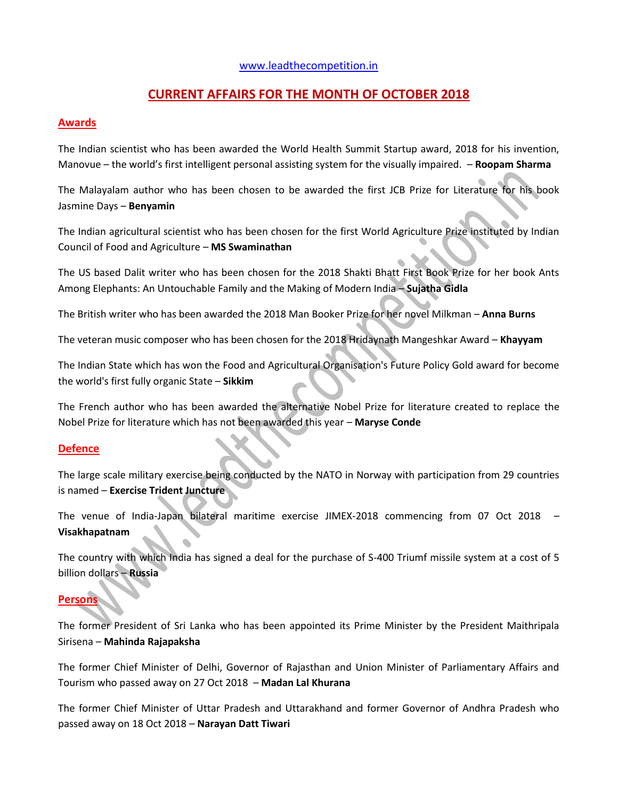# [www.leadthecompetition.in](http://www.leadthecompetition.in/)

# **CURRENT AFFAIRS FOR THE MONTH OF OCTOBER 2018**

## **Awards**

The Indian scientist who has been awarded the World Health Summit Startup award, 2018 for his invention, Manovue – the world's first intelligent personal assisting system for the visually impaired. – **Roopam Sharma**

The Malayalam author who has been chosen to be awarded the first JCB Prize for Literature for his book Jasmine Days – **Benyamin**

The Indian agricultural scientist who has been chosen for the first World Agriculture Prize instituted by Indian Council of Food and Agriculture – **MS Swaminathan**

The US based Dalit writer who has been chosen for the 2018 Shakti Bhatt First Book Prize for her book Ants Among Elephants: An Untouchable Family and the Making of Modern India – **Sujatha Gidla**

The British writer who has been awarded the 2018 Man Booker Prize for her novel Milkman – **Anna Burns**

The veteran music composer who has been chosen for the 2018 Hridaynath Mangeshkar Award – **Khayyam**

The Indian State which has won the Food and Agricultural Organisation's Future Policy Gold award for become the world's first fully organic State – **Sikkim**

The French author who has been awarded the alternative Nobel Prize for literature created to replace the Nobel Prize for literature which has not been awarded this year – **Maryse Conde**

# **Defence**

The large scale military exercise being conducted by the NATO in Norway with participation from 29 countries is named – **Exercise Trident Juncture**

The venue of India-Japan bilateral maritime exercise JIMEX-2018 commencing from 07 Oct 2018 – **Visakhapatnam**

The country with which India has signed a deal for the purchase of S-400 Triumf missile system at a cost of 5 billion dollars – **Russia**

# **Persons**

The former President of Sri Lanka who has been appointed its Prime Minister by the President Maithripala Sirisena – **Mahinda Rajapaksha**

The former Chief Minister of Delhi, Governor of Rajasthan and Union Minister of Parliamentary Affairs and Tourism who passed away on 27 Oct 2018 – **Madan Lal Khurana**

The former Chief Minister of Uttar Pradesh and Uttarakhand and former Governor of Andhra Pradesh who passed away on 18 Oct 2018 – **Narayan Datt Tiwari**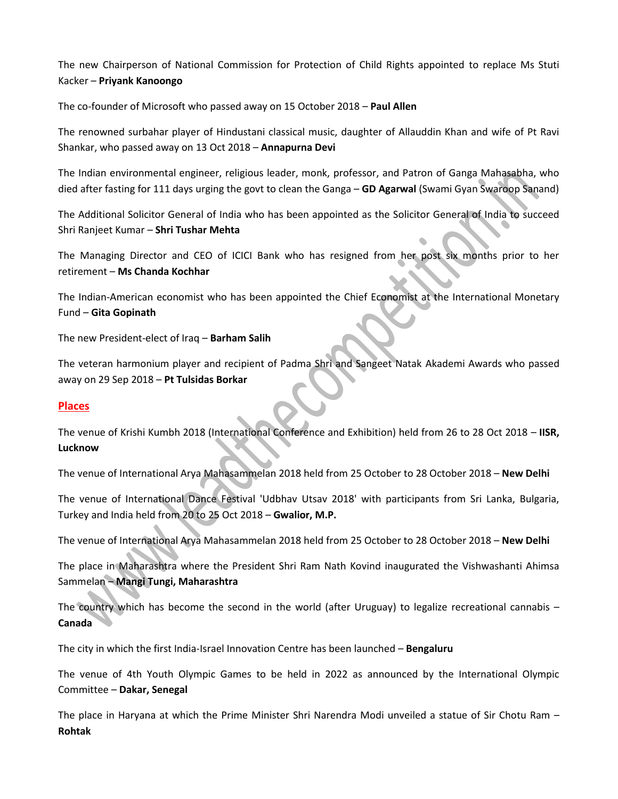The new Chairperson of National Commission for Protection of Child Rights appointed to replace Ms Stuti Kacker – **Priyank Kanoongo**

The co-founder of Microsoft who passed away on 15 October 2018 – **Paul Allen**

The renowned surbahar player of Hindustani classical music, daughter of Allauddin Khan and wife of Pt Ravi Shankar, who passed away on 13 Oct 2018 – **Annapurna Devi**

The Indian environmental engineer, religious leader, monk, professor, and Patron of Ganga Mahasabha, who died after fasting for 111 days urging the govt to clean the Ganga – **GD Agarwal** (Swami Gyan Swaroop Sanand)

The Additional Solicitor General of India who has been appointed as the Solicitor General of India to succeed Shri Ranjeet Kumar – **Shri Tushar Mehta**

The Managing Director and CEO of ICICI Bank who has resigned from her post six months prior to her retirement – **Ms Chanda Kochhar**

The Indian-American economist who has been appointed the Chief Economist at the International Monetary Fund – **Gita Gopinath**

The new President-elect of Iraq – **Barham Salih**

The veteran harmonium player and recipient of Padma Shri and Sangeet Natak Akademi Awards who passed away on 29 Sep 2018 – **Pt Tulsidas Borkar**

# **Places**

The venue of Krishi Kumbh 2018 (International Conference and Exhibition) held from 26 to 28 Oct 2018 – **IISR, Lucknow**

The venue of International Arya Mahasammelan 2018 held from 25 October to 28 October 2018 – **New Delhi**

The venue of International Dance Festival 'Udbhav Utsav 2018' with participants from Sri Lanka, Bulgaria, Turkey and India held from 20 to 25 Oct 2018 – **Gwalior, M.P.**

The venue of International Arya Mahasammelan 2018 held from 25 October to 28 October 2018 – **New Delhi**

The place in Maharashtra where the President Shri Ram Nath Kovind inaugurated the Vishwashanti Ahimsa Sammelan – **Mangi Tungi, Maharashtra**

The country which has become the second in the world (after Uruguay) to legalize recreational cannabis – **Canada**

The city in which the first India-Israel Innovation Centre has been launched – **Bengaluru**

The venue of 4th Youth Olympic Games to be held in 2022 as announced by the International Olympic Committee – **Dakar, Senegal**

The place in Haryana at which the Prime Minister Shri Narendra Modi unveiled a statue of Sir Chotu Ram – **Rohtak**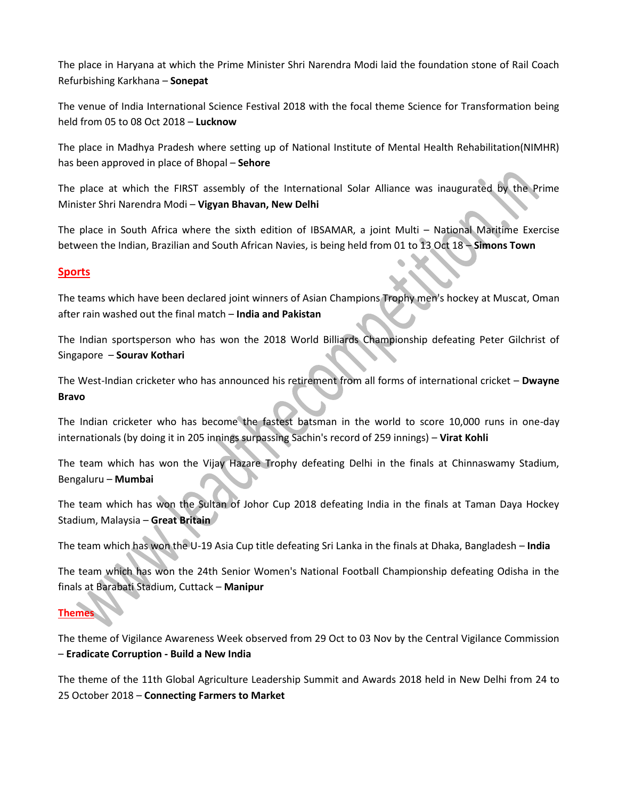The place in Haryana at which the Prime Minister Shri Narendra Modi laid the foundation stone of Rail Coach Refurbishing Karkhana – **Sonepat**

The venue of India International Science Festival 2018 with the focal theme Science for Transformation being held from 05 to 08 Oct 2018 – **Lucknow**

The place in Madhya Pradesh where setting up of National Institute of Mental Health Rehabilitation(NIMHR) has been approved in place of Bhopal – **Sehore**

The place at which the FIRST assembly of the International Solar Alliance was inaugurated by the Prime Minister Shri Narendra Modi – **Vigyan Bhavan, New Delhi**

The place in South Africa where the sixth edition of IBSAMAR, a joint Multi – National Maritime Exercise between the Indian, Brazilian and South African Navies, is being held from 01 to 13 Oct 18 – **Simons Town**

# **Sports**

The teams which have been declared joint winners of Asian Champions Trophy men's hockey at Muscat, Oman after rain washed out the final match – **India and Pakistan**

The Indian sportsperson who has won the 2018 World Billiards Championship defeating Peter Gilchrist of Singapore – **Sourav Kothari**

The West-Indian cricketer who has announced his retirement from all forms of international cricket – **Dwayne Bravo**

The Indian cricketer who has become the fastest batsman in the world to score 10,000 runs in one-day internationals (by doing it in 205 innings surpassing Sachin's record of 259 innings) – **Virat Kohli**

The team which has won the Vijay Hazare Trophy defeating Delhi in the finals at Chinnaswamy Stadium, Bengaluru – **Mumbai**

The team which has won the Sultan of Johor Cup 2018 defeating India in the finals at Taman Daya Hockey Stadium, Malaysia – **Great Britain**

The team which has won the U-19 Asia Cup title defeating Sri Lanka in the finals at Dhaka, Bangladesh – **India**

The team which has won the 24th Senior Women's National Football Championship defeating Odisha in the finals at Barabati Stadium, Cuttack – **Manipur**

# **Themes**

The theme of Vigilance Awareness Week observed from 29 Oct to 03 Nov by the Central Vigilance Commission – **Eradicate Corruption - Build a New India**

The theme of the 11th Global Agriculture Leadership Summit and Awards 2018 held in New Delhi from 24 to 25 October 2018 – **Connecting Farmers to Market**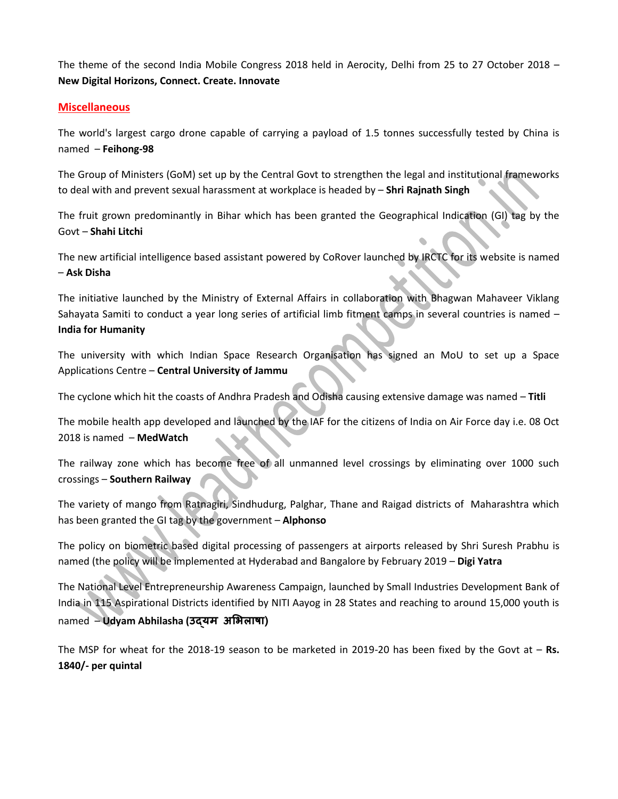The theme of the second India Mobile Congress 2018 held in Aerocity, Delhi from 25 to 27 October 2018 – **New Digital Horizons, Connect. Create. Innovate**

## **Miscellaneous**

The world's largest cargo drone capable of carrying a payload of 1.5 tonnes successfully tested by China is named – **Feihong-98**

The Group of Ministers (GoM) set up by the Central Govt to strengthen the legal and institutional frameworks to deal with and prevent sexual harassment at workplace is headed by – **Shri Rajnath Singh**

The fruit grown predominantly in Bihar which has been granted the Geographical Indication (GI) tag by the Govt – **Shahi Litchi**

The new artificial intelligence based assistant powered by CoRover launched by IRCTC for its website is named – **Ask Disha**

The initiative launched by the Ministry of External Affairs in collaboration with Bhagwan Mahaveer Viklang Sahayata Samiti to conduct a year long series of artificial limb fitment camps in several countries is named – **India for Humanity**

The university with which Indian Space Research Organisation has signed an MoU to set up a Space Applications Centre – **Central University of Jammu**

The cyclone which hit the coasts of Andhra Pradesh and Odisha causing extensive damage was named – **Titli**

The mobile health app developed and launched by the IAF for the citizens of India on Air Force day i.e. 08 Oct 2018 is named – **MedWatch**

The railway zone which has become free of all unmanned level crossings by eliminating over 1000 such crossings – **Southern Railway**

The variety of mango from Ratnagiri, Sindhudurg, Palghar, Thane and Raigad districts of Maharashtra which has been granted the GI tag by the government – **Alphonso**

The policy on biometric based digital processing of passengers at airports released by Shri Suresh Prabhu is named (the policy will be implemented at Hyderabad and Bangalore by February 2019 – **Digi Yatra**

The National Level Entrepreneurship Awareness Campaign, launched by Small Industries Development Bank of India in 115 Aspirational Districts identified by NITI Aayog in 28 States and reaching to around 15,000 youth is named – **Udyam Abhilasha (उद्यम अभिलाषा)**

The MSP for wheat for the 2018-19 season to be marketed in 2019-20 has been fixed by the Govt at – **Rs. 1840/- per quintal**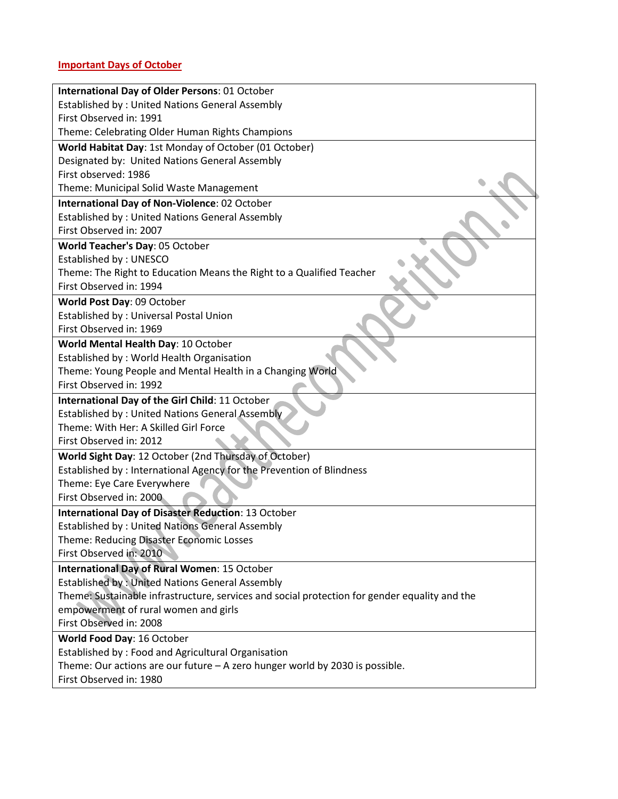## **Important Days of October**

| <b>International Day of Older Persons: 01 October</b>                                         |
|-----------------------------------------------------------------------------------------------|
| <b>Established by: United Nations General Assembly</b>                                        |
| First Observed in: 1991                                                                       |
| Theme: Celebrating Older Human Rights Champions                                               |
| World Habitat Day: 1st Monday of October (01 October)                                         |
| Designated by: United Nations General Assembly                                                |
| First observed: 1986                                                                          |
| Theme: Municipal Solid Waste Management                                                       |
| International Day of Non-Violence: 02 October                                                 |
| <b>Established by: United Nations General Assembly</b>                                        |
| First Observed in: 2007                                                                       |
| World Teacher's Day: 05 October                                                               |
| Established by: UNESCO                                                                        |
| Theme: The Right to Education Means the Right to a Qualified Teacher                          |
| First Observed in: 1994                                                                       |
| World Post Day: 09 October                                                                    |
| Established by: Universal Postal Union                                                        |
| First Observed in: 1969                                                                       |
| World Mental Health Day: 10 October                                                           |
| Established by: World Health Organisation                                                     |
| Theme: Young People and Mental Health in a Changing World                                     |
| First Observed in: 1992                                                                       |
| International Day of the Girl Child: 11 October                                               |
| Established by: United Nations General Assembly                                               |
| Theme: With Her: A Skilled Girl Force                                                         |
| First Observed in: 2012                                                                       |
| World Sight Day: 12 October (2nd Thursday of October)                                         |
| Established by: International Agency for the Prevention of Blindness                          |
| Theme: Eye Care Everywhere                                                                    |
| First Observed in: 2000                                                                       |
| <b>International Day of Disaster Reduction: 13 October</b>                                    |
| <b>Established by: United Nations General Assembly</b>                                        |
| Theme: Reducing Disaster Economic Losses                                                      |
| First Observed in: 2010                                                                       |
| International Day of Rural Women: 15 October                                                  |
| <b>Established by: United Nations General Assembly</b>                                        |
| Theme: Sustainable infrastructure, services and social protection for gender equality and the |
| empowerment of rural women and girls                                                          |
| First Observed in: 2008                                                                       |
| World Food Day: 16 October                                                                    |
| Established by: Food and Agricultural Organisation                                            |
| Theme: Our actions are our future $-$ A zero hunger world by 2030 is possible.                |
| First Observed in: 1980                                                                       |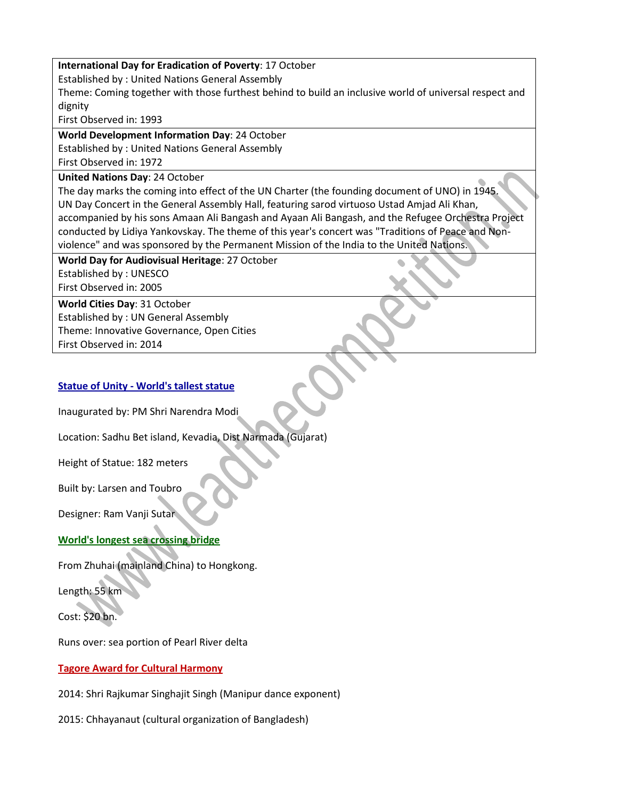## **International Day for Eradication of Poverty**: 17 October

Established by : United Nations General Assembly

Theme: Coming together with those furthest behind to build an inclusive world of universal respect and dignity

First Observed in: 1993

**World Development Information Day**: 24 October Established by : United Nations General Assembly First Observed in: 1972

**United Nations Day**: 24 October

The day marks the coming into effect of the UN Charter (the founding document of UNO) in 1945. UN Day Concert in the General Assembly Hall, featuring sarod virtuoso Ustad Amjad Ali Khan, accompanied by his sons Amaan Ali Bangash and Ayaan Ali Bangash, and the Refugee Orchestra Project conducted by Lidiya Yankovskay. The theme of this year's concert was "Traditions of Peace and Nonviolence" and was sponsored by the Permanent Mission of the India to the United Nations.

**World Day for Audiovisual Heritage**: 27 October Established by : UNESCO First Observed in: 2005

**World Cities Day**: 31 October

Established by : UN General Assembly Theme: Innovative Governance, Open Cities First Observed in: 2014

# **Statue of Unity - World's tallest statue**

Inaugurated by: PM Shri Narendra Modi

Location: Sadhu Bet island, Kevadia, Dist Narmada (Gujarat)

Height of Statue: 182 meters

Built by: Larsen and Toubro

Designer: Ram Vanji Sutar

**World's longest sea crossing bridge**

From Zhuhai (mainland China) to Hongkong.

Length: 55 km

Cost: \$20 bn.

Runs over: sea portion of Pearl River delta

# **Tagore Award for Cultural Harmony**

2014: Shri Rajkumar Singhajit Singh (Manipur dance exponent)

2015: Chhayanaut (cultural organization of Bangladesh)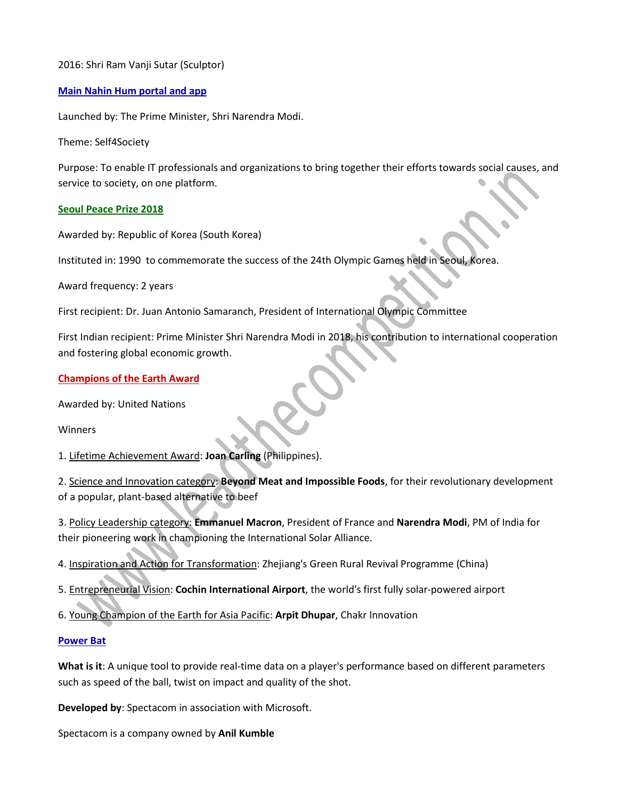## 2016: Shri Ram Vanji Sutar (Sculptor)

## **Main Nahin Hum portal and app**

Launched by: The Prime Minister, Shri Narendra Modi.

Theme: Self4Society

Purpose: To enable IT professionals and organizations to bring together their efforts towards social causes, and service to society, on one platform.

## **Seoul Peace Prize 2018**

Awarded by: Republic of Korea (South Korea)

Instituted in: 1990 to commemorate the success of the 24th Olympic Games held in Seoul, Korea.

Award frequency: 2 years

First recipient: Dr. Juan Antonio Samaranch, President of International Olympic Committee

First Indian recipient: Prime Minister Shri Narendra Modi in 2018, his contribution to international cooperation and fostering global economic growth.

## **Champions of the Earth Award**

Awarded by: United Nations

Winners

1. Lifetime Achievement Award: **Joan Carling** (Philippines).

2. Science and Innovation category: **Beyond Meat and Impossible Foods**, for their revolutionary development of a popular, plant-based alternative to beef

3. Policy Leadership category: **Emmanuel Macron**, President of France and **Narendra Modi**, PM of India for their pioneering work in championing the International Solar Alliance.

4. Inspiration and Action for Transformation: Zhejiang's Green Rural Revival Programme (China)

- 5. Entrepreneurial Vision: **Cochin International Airport**, the world's first fully solar-powered airport
- 6. Young Champion of the Earth for Asia Pacific: **Arpit Dhupar**, Chakr Innovation

## **Power Bat**

**What is it**: A unique tool to provide real-time data on a player's performance based on different parameters such as speed of the ball, twist on impact and quality of the shot.

**Developed by**: Spectacom in association with Microsoft.

Spectacom is a company owned by **Anil Kumble**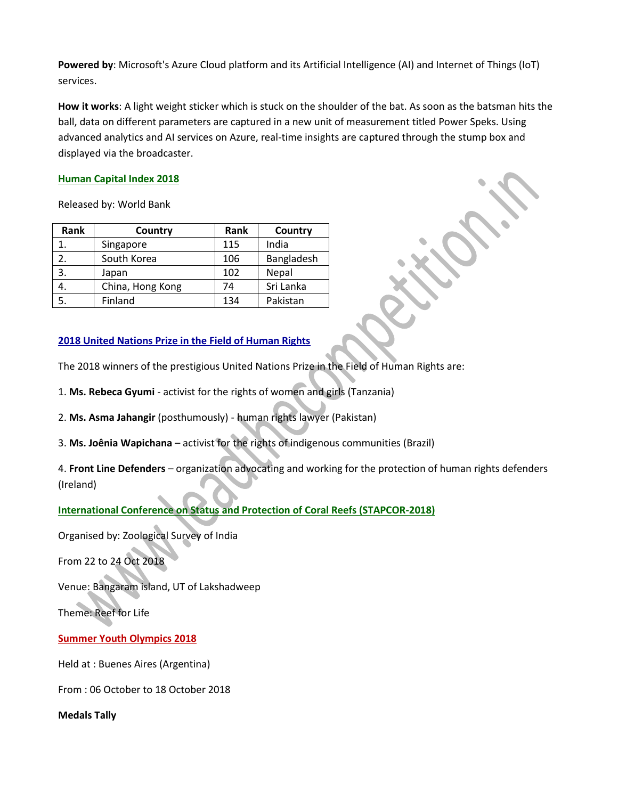**Powered by**: Microsoft's Azure Cloud platform and its Artificial Intelligence (AI) and Internet of Things (IoT) services.

**How it works**: A light weight sticker which is stuck on the shoulder of the bat. As soon as the batsman hits the ball, data on different parameters are captured in a new unit of measurement titled Power Speks. Using advanced analytics and AI services on Azure, real-time insights are captured through the stump box and displayed via the broadcaster.

## **Human Capital Index 2018**

Released by: World Bank

| Rank | Country          | Rank | Country      |
|------|------------------|------|--------------|
|      | Singapore        | 115  | India        |
| 2.   | South Korea      | 106  | Bangladesh   |
| 3.   | Japan            | 102  | <b>Nepal</b> |
| 4.   | China, Hong Kong | 74   | Sri Lanka    |
|      | Finland          | 134  | Pakistan     |

## **2018 United Nations Prize in the Field of Human Rights**

The 2018 winners of the prestigious United Nations Prize in the Field of Human Rights are:

1. **Ms. Rebeca Gyumi** - activist for the rights of women and girls (Tanzania)

2. **Ms. Asma Jahangir** (posthumously) - human rights lawyer (Pakistan)

3. **Ms. Joênia Wapichana** – activist for the rights of indigenous communities (Brazil)

4. **Front Line Defenders** – organization advocating and working for the protection of human rights defenders (Ireland)

# **International Conference on Status and Protection of Coral Reefs (STAPCOR-2018)**

Organised by: Zoological Survey of India

From 22 to 24 Oct 2018

Venue: Bangaram island, UT of Lakshadweep

Theme: Reef for Life

**Summer Youth Olympics 2018**

Held at : Buenes Aires (Argentina)

From : 06 October to 18 October 2018

**Medals Tally**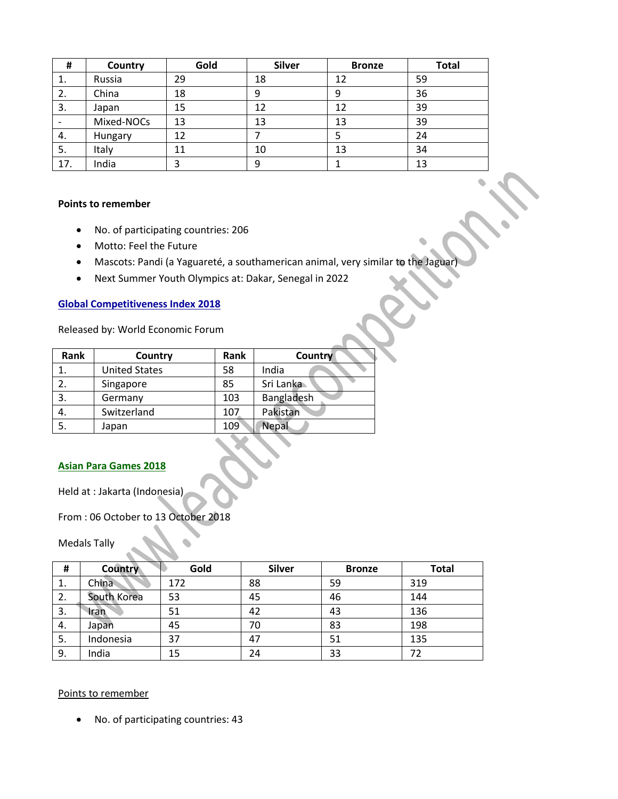| #   | Country    | Gold | <b>Silver</b> | <b>Bronze</b> | <b>Total</b> |
|-----|------------|------|---------------|---------------|--------------|
| 1.  | Russia     | 29   | 18            | 12            | 59           |
| 2.  | China      | 18   |               | 9             | 36           |
| 3.  | Japan      | 15   | 12            | 12            | 39           |
|     | Mixed-NOCs | 13   | 13            | 13            | 39           |
| 4.  | Hungary    | 12   |               |               | 24           |
| 5.  | Italy      | 11   | 10            | 13            | 34           |
| 17. | India      |      |               |               | 13           |

#### **Points to remember**

- No. of participating countries: 206
- Motto: Feel the Future
- Mascots: Pandi (a Yaguareté, a southamerican animal, very similar to the Jaguar)
- Next Summer Youth Olympics at: Dakar, Senegal in 2022

## **Global Competitiveness Index 2018**

Released by: World Economic Forum

| Rank | Country              | Rank | Country    |
|------|----------------------|------|------------|
|      | <b>United States</b> | 58   | India      |
| 2.   | Singapore            | 85   | Sri Lanka  |
| 3.   | Germany              | 103  | Bangladesh |
| 4.   | Switzerland          | 107  | Pakistan   |
| 5.   | Japan                | 109  | Nepal      |
|      |                      |      |            |

## **Asian Para Games 2018**

Held at : Jakarta (Indonesia)

# From : 06 October to 13 October 2018

Medals Tally

| #  | <b>Country</b> | Gold | <b>Silver</b> | <b>Bronze</b> | <b>Total</b> |
|----|----------------|------|---------------|---------------|--------------|
| 1. | China          | 172  | 88            | 59            | 319          |
| 2. | South Korea    | 53   | 45            | 46            | 144          |
| 3. | Iran           | 51   | 42            | 43            | 136          |
| 4. | Japan          | 45   | 70            | 83            | 198          |
| 5. | Indonesia      | 37   | 47            | 51            | 135          |
| 9. | India          | 15   | 24            | 33            | 72           |

#### Points to remember

No. of participating countries: 43